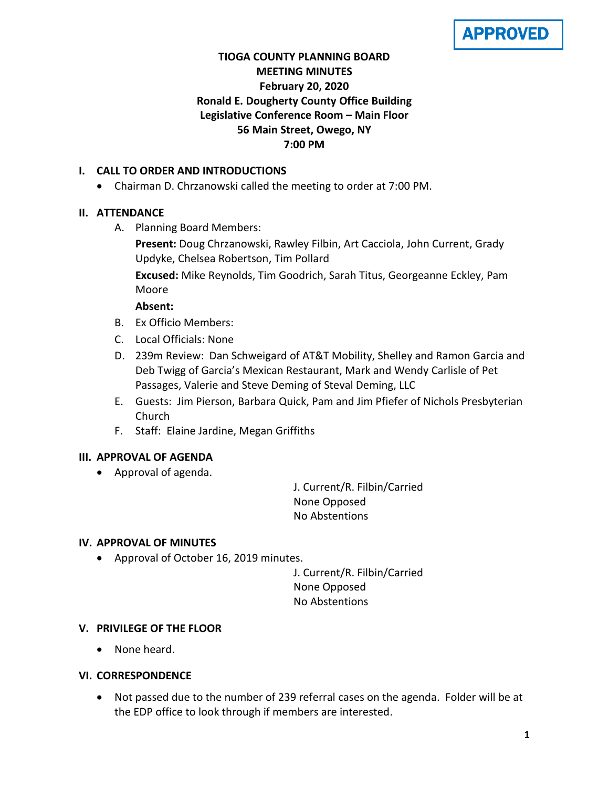APPROVED

# **TIOGA COUNTY PLANNING BOARD MEETING MINUTES February 20, 2020 Ronald E. Dougherty County Office Building Legislative Conference Room – Main Floor 56 Main Street, Owego, NY 7:00 PM**

# **I. CALL TO ORDER AND INTRODUCTIONS**

Chairman D. Chrzanowski called the meeting to order at 7:00 PM.

# **II. ATTENDANCE**

A. Planning Board Members:

**Present:** Doug Chrzanowski, Rawley Filbin, Art Cacciola, John Current, Grady Updyke, Chelsea Robertson, Tim Pollard

**Excused:** Mike Reynolds, Tim Goodrich, Sarah Titus, Georgeanne Eckley, Pam Moore

# **Absent:**

- B. Ex Officio Members:
- C. Local Officials: None
- D. 239m Review: Dan Schweigard of AT&T Mobility, Shelley and Ramon Garcia and Deb Twigg of Garcia's Mexican Restaurant, Mark and Wendy Carlisle of Pet Passages, Valerie and Steve Deming of Steval Deming, LLC
- E. Guests: Jim Pierson, Barbara Quick, Pam and Jim Pfiefer of Nichols Presbyterian Church
- F. Staff: Elaine Jardine, Megan Griffiths

# **III. APPROVAL OF AGENDA**

Approval of agenda.

J. Current/R. Filbin/Carried None Opposed No Abstentions

# **IV. APPROVAL OF MINUTES**

Approval of October 16, 2019 minutes.

J. Current/R. Filbin/Carried None Opposed No Abstentions

# **V. PRIVILEGE OF THE FLOOR**

None heard.

# **VI. CORRESPONDENCE**

 Not passed due to the number of 239 referral cases on the agenda. Folder will be at the EDP office to look through if members are interested.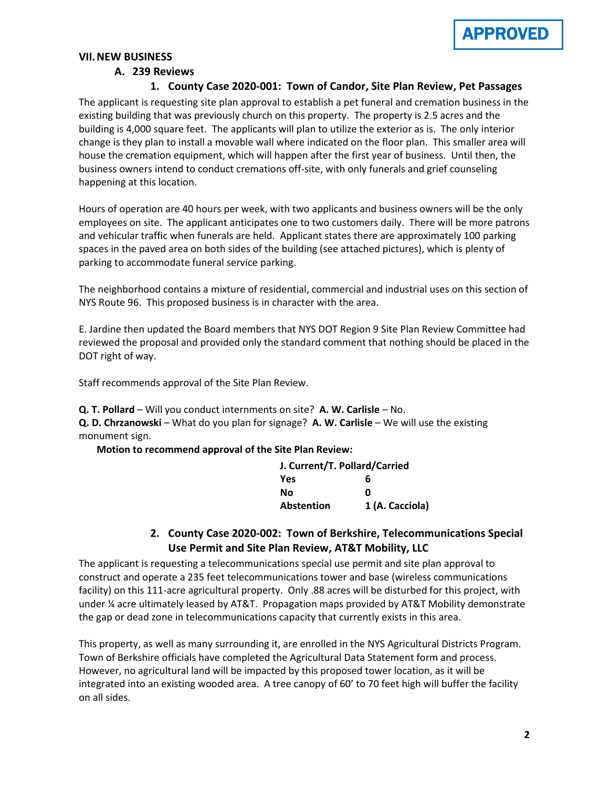

### **VII.NEW BUSINESS**

### **A. 239 Reviews**

#### **1. County Case 2020-001: Town of Candor, Site Plan Review, Pet Passages**

The applicant is requesting site plan approval to establish a pet funeral and cremation business in the existing building that was previously church on this property. The property is 2.5 acres and the building is 4,000 square feet. The applicants will plan to utilize the exterior as is. The only interior change is they plan to install a movable wall where indicated on the floor plan. This smaller area will house the cremation equipment, which will happen after the first year of business. Until then, the business owners intend to conduct cremations off-site, with only funerals and grief counseling happening at this location.

Hours of operation are 40 hours per week, with two applicants and business owners will be the only employees on site. The applicant anticipates one to two customers daily. There will be more patrons and vehicular traffic when funerals are held. Applicant states there are approximately 100 parking spaces in the paved area on both sides of the building (see attached pictures), which is plenty of parking to accommodate funeral service parking.

The neighborhood contains a mixture of residential, commercial and industrial uses on this section of NYS Route 96. This proposed business is in character with the area.

E. Jardine then updated the Board members that NYS DOT Region 9 Site Plan Review Committee had reviewed the proposal and provided only the standard comment that nothing should be placed in the DOT right of way.

Staff recommends approval of the Site Plan Review.

**Q. T. Pollard** – Will you conduct internments on site? **A. W. Carlisle** – No.

**Q. D. Chrzanowski** – What do you plan for signage? **A. W. Carlisle** – We will use the existing monument sign.

**Motion to recommend approval of the Site Plan Review:**

| J. Current/T. Pollard/Carried |                 |
|-------------------------------|-----------------|
| <b>Yes</b>                    | 6               |
| No                            | n               |
| <b>Abstention</b>             | 1 (A. Cacciola) |

# **2. County Case 2020-002: Town of Berkshire, Telecommunications Special Use Permit and Site Plan Review, AT&T Mobility, LLC**

The applicant is requesting a telecommunications special use permit and site plan approval to construct and operate a 235 feet telecommunications tower and base (wireless communications facility) on this 111-acre agricultural property. Only .88 acres will be disturbed for this project, with under ¼ acre ultimately leased by AT&T. Propagation maps provided by AT&T Mobility demonstrate the gap or dead zone in telecommunications capacity that currently exists in this area.

This property, as well as many surrounding it, are enrolled in the NYS Agricultural Districts Program. Town of Berkshire officials have completed the Agricultural Data Statement form and process. However, no agricultural land will be impacted by this proposed tower location, as it will be integrated into an existing wooded area. A tree canopy of 60' to 70 feet high will buffer the facility on all sides.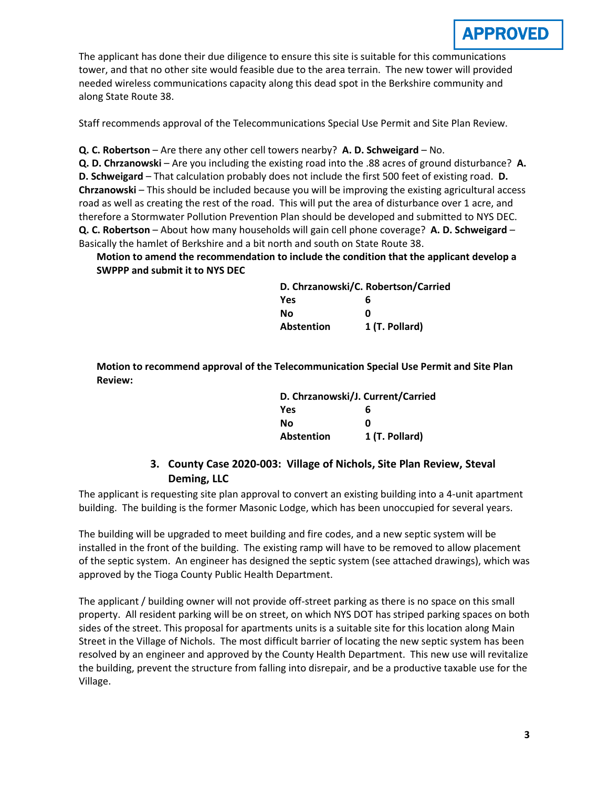

The applicant has done their due diligence to ensure this site is suitable for this communications tower, and that no other site would feasible due to the area terrain. The new tower will provided needed wireless communications capacity along this dead spot in the Berkshire community and along State Route 38.

Staff recommends approval of the Telecommunications Special Use Permit and Site Plan Review.

**Q. C. Robertson** – Are there any other cell towers nearby? **A. D. Schweigard** – No.

**Q. D. Chrzanowski** – Are you including the existing road into the .88 acres of ground disturbance? **A. D. Schweigard** – That calculation probably does not include the first 500 feet of existing road. **D. Chrzanowski** – This should be included because you will be improving the existing agricultural access road as well as creating the rest of the road. This will put the area of disturbance over 1 acre, and therefore a Stormwater Pollution Prevention Plan should be developed and submitted to NYS DEC. **Q. C. Robertson** – About how many households will gain cell phone coverage? **A. D. Schweigard** – Basically the hamlet of Berkshire and a bit north and south on State Route 38.

**Motion to amend the recommendation to include the condition that the applicant develop a SWPPP and submit it to NYS DEC**

| D. Chrzanowski/C. Robertson/Carried |                |
|-------------------------------------|----------------|
| Yes                                 | 6              |
| Nο                                  | n              |
| <b>Abstention</b>                   | 1 (T. Pollard) |

**Motion to recommend approval of the Telecommunication Special Use Permit and Site Plan Review:**

| D. Chrzanowski/J. Current/Carried |                |
|-----------------------------------|----------------|
| <b>Yes</b>                        | 6              |
| No                                | ŋ              |
| Abstention                        | 1 (T. Pollard) |

# **3. County Case 2020-003: Village of Nichols, Site Plan Review, Steval Deming, LLC**

The applicant is requesting site plan approval to convert an existing building into a 4-unit apartment building. The building is the former Masonic Lodge, which has been unoccupied for several years.

The building will be upgraded to meet building and fire codes, and a new septic system will be installed in the front of the building. The existing ramp will have to be removed to allow placement of the septic system. An engineer has designed the septic system (see attached drawings), which was approved by the Tioga County Public Health Department.

The applicant / building owner will not provide off-street parking as there is no space on this small property. All resident parking will be on street, on which NYS DOT has striped parking spaces on both sides of the street. This proposal for apartments units is a suitable site for this location along Main Street in the Village of Nichols. The most difficult barrier of locating the new septic system has been resolved by an engineer and approved by the County Health Department. This new use will revitalize the building, prevent the structure from falling into disrepair, and be a productive taxable use for the Village.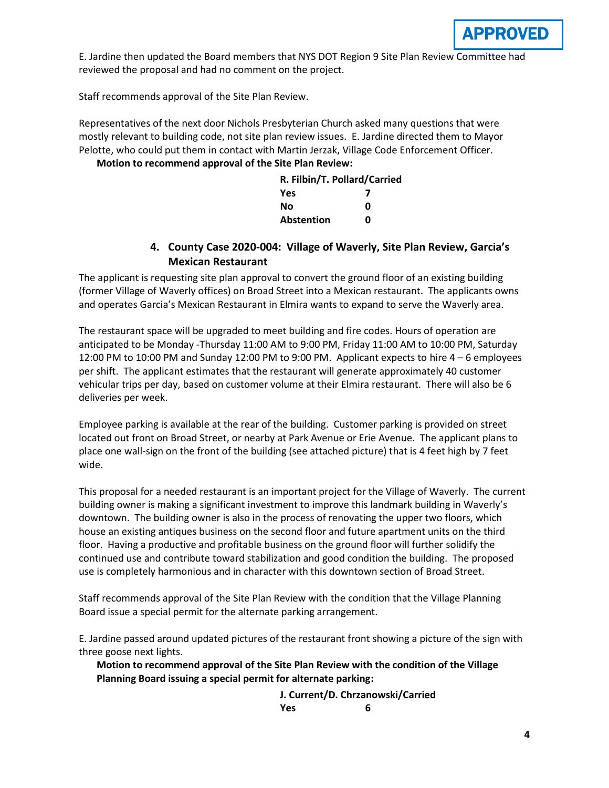

E. Jardine then updated the Board members that NYS DOT Region 9 Site Plan Review Committee had reviewed the proposal and had no comment on the project.

Staff recommends approval of the Site Plan Review.

Representatives of the next door Nichols Presbyterian Church asked many questions that were mostly relevant to building code, not site plan review issues. E. Jardine directed them to Mayor Pelotte, who could put them in contact with Martin Jerzak, Village Code Enforcement Officer.

### **Motion to recommend approval of the Site Plan Review:**

| R. Filbin/T. Pollard/Carried |   |
|------------------------------|---|
| <b>Yes</b>                   |   |
| No                           | n |
| <b>Abstention</b>            | n |

# **4. County Case 2020-004: Village of Waverly, Site Plan Review, Garcia's Mexican Restaurant**

The applicant is requesting site plan approval to convert the ground floor of an existing building (former Village of Waverly offices) on Broad Street into a Mexican restaurant. The applicants owns and operates Garcia's Mexican Restaurant in Elmira wants to expand to serve the Waverly area.

The restaurant space will be upgraded to meet building and fire codes. Hours of operation are anticipated to be Monday -Thursday 11:00 AM to 9:00 PM, Friday 11:00 AM to 10:00 PM, Saturday 12:00 PM to 10:00 PM and Sunday 12:00 PM to 9:00 PM. Applicant expects to hire 4 – 6 employees per shift. The applicant estimates that the restaurant will generate approximately 40 customer vehicular trips per day, based on customer volume at their Elmira restaurant. There will also be 6 deliveries per week.

Employee parking is available at the rear of the building. Customer parking is provided on street located out front on Broad Street, or nearby at Park Avenue or Erie Avenue. The applicant plans to place one wall-sign on the front of the building (see attached picture) that is 4 feet high by 7 feet wide.

This proposal for a needed restaurant is an important project for the Village of Waverly. The current building owner is making a significant investment to improve this landmark building in Waverly's downtown. The building owner is also in the process of renovating the upper two floors, which house an existing antiques business on the second floor and future apartment units on the third floor. Having a productive and profitable business on the ground floor will further solidify the continued use and contribute toward stabilization and good condition the building. The proposed use is completely harmonious and in character with this downtown section of Broad Street.

Staff recommends approval of the Site Plan Review with the condition that the Village Planning Board issue a special permit for the alternate parking arrangement.

E. Jardine passed around updated pictures of the restaurant front showing a picture of the sign with three goose next lights.

**Motion to recommend approval of the Site Plan Review with the condition of the Village Planning Board issuing a special permit for alternate parking:**

> **J. Current/D. Chrzanowski/Carried Yes 6**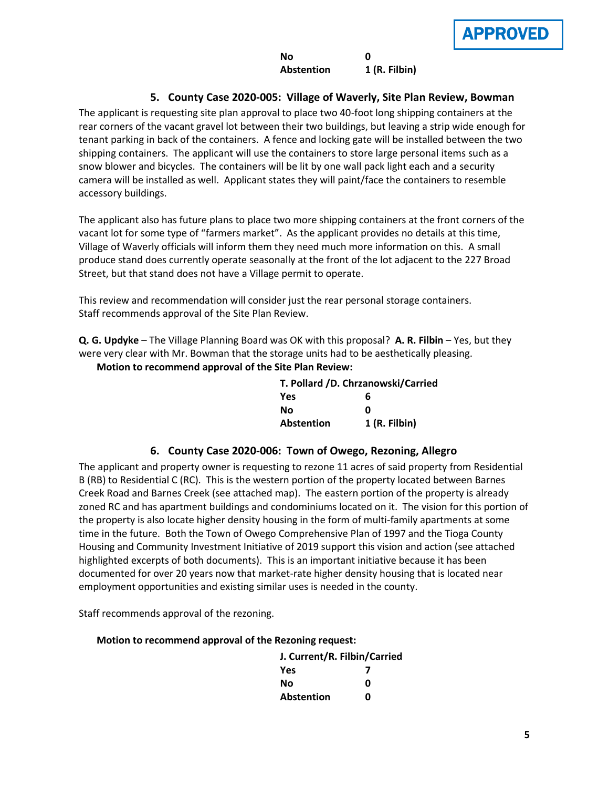# **5. County Case 2020-005: Village of Waverly, Site Plan Review, Bowman**

The applicant is requesting site plan approval to place two 40-foot long shipping containers at the rear corners of the vacant gravel lot between their two buildings, but leaving a strip wide enough for tenant parking in back of the containers. A fence and locking gate will be installed between the two shipping containers. The applicant will use the containers to store large personal items such as a snow blower and bicycles. The containers will be lit by one wall pack light each and a security camera will be installed as well. Applicant states they will paint/face the containers to resemble accessory buildings.

The applicant also has future plans to place two more shipping containers at the front corners of the vacant lot for some type of "farmers market". As the applicant provides no details at this time, Village of Waverly officials will inform them they need much more information on this. A small produce stand does currently operate seasonally at the front of the lot adjacent to the 227 Broad Street, but that stand does not have a Village permit to operate.

This review and recommendation will consider just the rear personal storage containers. Staff recommends approval of the Site Plan Review.

**Q. G. Updyke** – The Village Planning Board was OK with this proposal? **A. R. Filbin** – Yes, but they were very clear with Mr. Bowman that the storage units had to be aesthetically pleasing.

**Motion to recommend approval of the Site Plan Review:**

| T. Pollard /D. Chrzanowski/Carried |              |
|------------------------------------|--------------|
| Yes                                | 6            |
| Nο                                 | Ω            |
| <b>Abstention</b>                  | 1(R. Filbin) |

# **6. County Case 2020-006: Town of Owego, Rezoning, Allegro**

The applicant and property owner is requesting to rezone 11 acres of said property from Residential B (RB) to Residential C (RC). This is the western portion of the property located between Barnes Creek Road and Barnes Creek (see attached map). The eastern portion of the property is already zoned RC and has apartment buildings and condominiums located on it. The vision for this portion of the property is also locate higher density housing in the form of multi-family apartments at some time in the future. Both the Town of Owego Comprehensive Plan of 1997 and the Tioga County Housing and Community Investment Initiative of 2019 support this vision and action (see attached highlighted excerpts of both documents). This is an important initiative because it has been documented for over 20 years now that market-rate higher density housing that is located near employment opportunities and existing similar uses is needed in the county.

Staff recommends approval of the rezoning.

### **Motion to recommend approval of the Rezoning request:**

| J. Current/R. Filbin/Carried |   |
|------------------------------|---|
| Yes                          |   |
| Nο                           | ŋ |
| <b>Abstention</b>            | n |